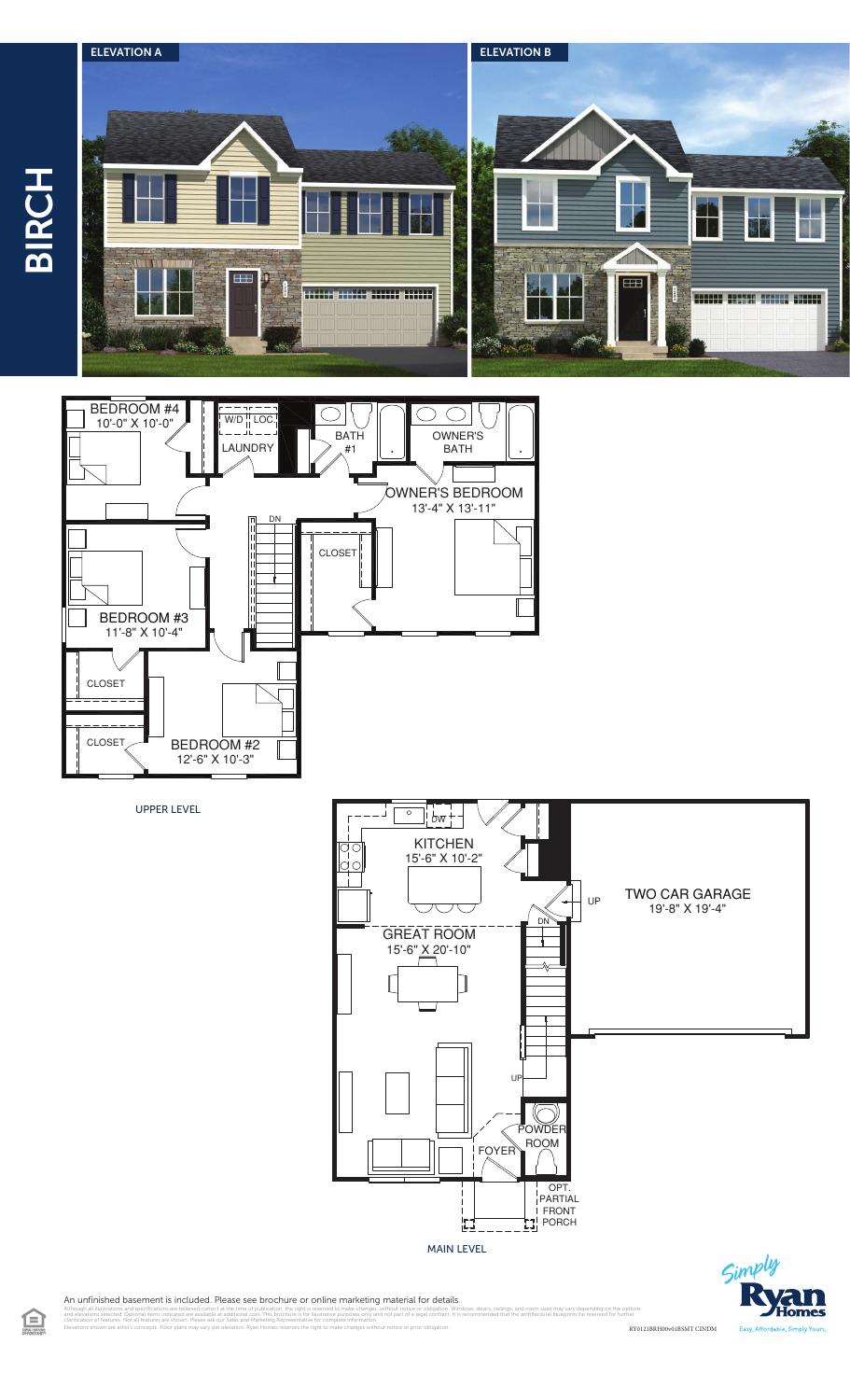





UPPER LEVEL



 $\zeta$ im

An unfinished basement is included. Please see brochure or online marketing material for details.

Elevations shown are artist's concepts. Floor plans may vary per elevation. Ryan Homes reserves the right to make changes without notice or prior obligation.

illustrations and specifications are believed correct at the time of publication, the right is reserved to make changes, without notice or obligation. Windows, doors, ceilings, and room sizes may vary depending on the opt<br> clarification of features. Not all features are shown. Please ask our Sales and Marketing Representative for complete information. RY0121BRH00v01BSMT CINDM